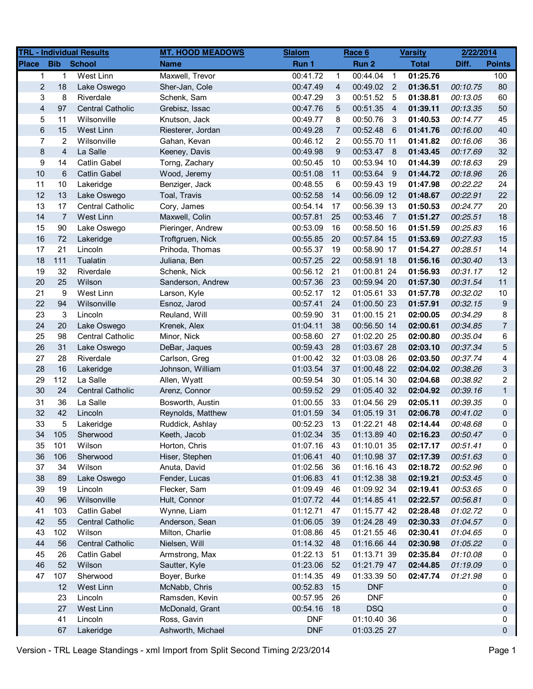|                         |                | <b>TRL - Individual Results</b> | <b>MT. HOOD MEADOWS</b> | <b>Slalom</b> |                | Race 6      |                | <b>Varsity</b> | 2/22/2014 |                |
|-------------------------|----------------|---------------------------------|-------------------------|---------------|----------------|-------------|----------------|----------------|-----------|----------------|
| <b>Place</b>            | <b>Bib</b>     | <b>School</b>                   | <b>Name</b>             | Run 1         |                | Run 2       |                | <b>Total</b>   | Diff.     | <b>Points</b>  |
| $\mathbf 1$             | $\mathbf{1}$   | <b>West Linn</b>                | Maxwell, Trevor         | 00:41.72      | $\mathbf 1$    | 00:44.04    | $\overline{1}$ | 01:25.76       |           | 100            |
| $\overline{c}$          | 18             | Lake Oswego                     | Sher-Jan, Cole          | 00:47.49      | 4              | 00:49.02 2  |                | 01:36.51       | 00:10.75  | 80             |
| 3                       | 8              | Riverdale                       | Schenk, Sam             | 00:47.29      | 3              | 00:51.52    | - 5            | 01:38.81       | 00:13.05  | 60             |
| $\overline{\mathbf{4}}$ | 97             | <b>Central Catholic</b>         | Grebisz, Issac          | 00:47.76      | 5              | 00:51.35    | $\overline{4}$ | 01:39.11       | 00:13.35  | 50             |
| 5                       | 11             | Wilsonville                     | Knutson, Jack           | 00:49.77      | 8              | 00:50.76    | -3             | 01:40.53       | 00:14.77  | 45             |
| 6                       | 15             | West Linn                       | Riesterer, Jordan       | 00:49.28      | $\overline{7}$ | 00:52.48    | $-6$           | 01:41.76       | 00:16.00  | 40             |
| $\overline{7}$          | $\overline{c}$ | Wilsonville                     | Gahan, Kevan            | 00:46.12      | $\overline{2}$ | 00:55.70 11 |                | 01:41.82       | 00:16.06  | 36             |
| 8                       | 4              | La Salle                        | Keeney, Davis           | 00:49.98      | 9              | 00:53.47 8  |                | 01:43.45       | 00:17.69  | 32             |
| 9                       | 14             | <b>Catlin Gabel</b>             | Torng, Zachary          | 00:50.45      | 10             | 00:53.94 10 |                | 01:44.39       | 00:18.63  | 29             |
| 10                      | 6              | <b>Catlin Gabel</b>             | Wood, Jeremy            | 00:51.08      | 11             | 00:53.64 9  |                | 01:44.72       | 00:18.96  | 26             |
| 11                      | 10             | Lakeridge                       | Benziger, Jack          | 00:48.55      | 6              | 00:59.43 19 |                | 01:47.98       | 00:22.22  | 24             |
| 12                      | 13             | Lake Oswego                     | Toal, Travis            | 00:52.58      | 14             | 00:56.09 12 |                | 01:48.67       | 00:22.91  | 22             |
| 13                      | 17             | <b>Central Catholic</b>         | Cory, James             | 00:54.14      | 17             | 00:56.39 13 |                | 01:50.53       | 00:24.77  | 20             |
| 14                      | $\overline{7}$ | West Linn                       | Maxwell, Colin          | 00:57.81      | 25             | 00:53.46 7  |                | 01:51.27       | 00:25.51  | 18             |
| 15                      | 90             | Lake Oswego                     | Pieringer, Andrew       | 00:53.09      | 16             | 00:58.50 16 |                | 01:51.59       | 00:25.83  | 16             |
| 16                      | 72             | Lakeridge                       | Troftgruen, Nick        | 00:55.85      | 20             | 00:57.84 15 |                | 01:53.69       | 00:27.93  | 15             |
| 17                      | 21             | Lincoln                         | Prihoda, Thomas         | 00:55.37      | 19             | 00:58.90 17 |                | 01:54.27       | 00:28.51  | 14             |
| 18                      | 111            | Tualatin                        | Juliana, Ben            | 00:57.25      | 22             | 00:58.91 18 |                | 01:56.16       | 00:30.40  | 13             |
| 19                      | 32             | Riverdale                       | Schenk, Nick            | 00:56.12      | 21             | 01:00.81 24 |                | 01:56.93       | 00:31.17  | 12             |
| 20                      | 25             | Wilson                          | Sanderson, Andrew       | 00:57.36      | 23             | 00:59.94 20 |                | 01:57.30       | 00:31.54  | 11             |
| 21                      | 9              | West Linn                       | Larson, Kyle            | 00:52.17      | 12             | 01:05.61 33 |                | 01:57.78       | 00:32.02  | 10             |
| 22                      | 94             | Wilsonville                     | Esnoz, Jarod            | 00:57.41      | 24             | 01:00.50 23 |                | 01:57.91       | 00:32.15  | 9              |
| 23                      | 3              | Lincoln                         | Reuland, Will           | 00:59.90      | 31             | 01:00.15 21 |                | 02:00.05       | 00:34.29  | 8              |
| 24                      | 20             | Lake Oswego                     | Krenek, Alex            | 01:04.11      | 38             | 00:56.50 14 |                | 02:00.61       | 00:34.85  | $\overline{7}$ |
| 25                      | 98             | <b>Central Catholic</b>         | Minor, Nick             | 00:58.60      | 27             | 01:02.20 25 |                | 02:00.80       | 00:35.04  | 6              |
| 26                      | 31             | Lake Oswego                     | DeBar, Jaques           | 00:59.43      | 28             | 01:03.67 28 |                | 02:03.10       | 00:37.34  | 5              |
| 27                      | 28             | Riverdale                       | Carlson, Greg           | 01:00.42      | 32             | 01:03.08 26 |                | 02:03.50       | 00:37.74  | 4              |
| 28                      | 16             | Lakeridge                       | Johnson, William        | 01:03.54      | 37             | 01:00.48 22 |                | 02:04.02       | 00:38.26  | 3              |
| 29                      | 112            | La Salle                        | Allen, Wyatt            | 00:59.54      | 30             | 01:05.14 30 |                | 02:04.68       | 00:38.92  | $\overline{2}$ |
| 30                      | 24             | <b>Central Catholic</b>         | Arenz, Connor           | 00:59.52      | 29             | 01:05.40 32 |                | 02:04.92       | 00:39.16  | $\mathbf{1}$   |
| 31                      | 36             | La Salle                        | Bosworth, Austin        | 01:00.55      | 33             | 01:04.56 29 |                | 02:05.11       | 00:39.35  | 0              |
| 32                      | 42             | Lincoln                         | Reynolds, Matthew       | 01:01.59      | 34             | 01:05.19 31 |                | 02:06.78       | 00:41.02  | 0              |
| 33                      | 5              | Lakeridge                       | Ruddick, Ashlay         | 00:52.23      | 13             | 01:22.21 48 |                | 02:14.44       | 00:48.68  | 0              |
| 34                      | 105            | Sherwood                        | Keeth, Jacob            | 01:02.34      | 35             | 01:13.89 40 |                | 02:16.23       | 00:50.47  | 0              |
| 35                      | 101            | Wilson                          | Horton, Chris           | 01:07.16      | 43             | 01:10.01 35 |                | 02:17.17       | 00:51.41  | 0              |
| 36                      | 106            | Sherwood                        | Hiser, Stephen          | 01:06.41      | 40             | 01:10.98 37 |                | 02:17.39       | 00:51.63  | 0              |
| 37                      | 34             | Wilson                          | Anuta, David            | 01:02.56      | 36             | 01:16.16 43 |                | 02:18.72       | 00:52.96  | 0              |
| 38                      | 89             | Lake Oswego                     | Fender, Lucas           | 01:06.83      | 41             | 01:12.38 38 |                | 02:19.21       | 00:53.45  | 0              |
| 39                      | 19             | Lincoln                         | Flecker, Sam            | 01:09.49      | 46             | 01:09.92 34 |                | 02:19.41       | 00:53.65  | 0              |
| 40                      | 96             | Wilsonville                     | Hult, Connor            | 01:07.72      | 44             | 01:14.85 41 |                | 02:22.57       | 00:56.81  | 0              |
| 41                      | 103            | <b>Catlin Gabel</b>             | Wynne, Liam             | 01:12.71      | 47             | 01:15.77 42 |                | 02:28.48       | 01:02.72  | 0              |
| 42                      | 55             | <b>Central Catholic</b>         | Anderson, Sean          | 01:06.05      | 39             | 01:24.28 49 |                | 02:30.33       | 01:04.57  | 0              |
| 43                      | 102            | Wilson                          | Milton, Charlie         | 01:08.86      | 45             | 01:21.55 46 |                | 02:30.41       | 01:04.65  | 0              |
| 44                      | 56             | <b>Central Catholic</b>         | Nielsen, Will           | 01:14.32      | 48             | 01:16.66 44 |                | 02:30.98       | 01:05.22  | 0              |
| 45                      | 26             | Catlin Gabel                    | Armstrong, Max          | 01:22.13      | 51             | 01:13.71 39 |                | 02:35.84       | 01:10.08  | 0              |
| 46                      | 52             | Wilson                          | Sautter, Kyle           | 01:23.06      | 52             | 01:21.79 47 |                | 02:44.85       | 01:19.09  | 0              |
| 47                      | 107            | Sherwood                        | Boyer, Burke            | 01:14.35      | 49             | 01:33.39 50 |                | 02:47.74       | 01:21.98  | 0              |
|                         | 12             | West Linn                       | McNabb, Chris           | 00:52.83      | 15             | <b>DNF</b>  |                |                |           | 0              |
|                         | 23             | Lincoln                         | Ramsden, Kevin          | 00:57.95      | 26             | <b>DNF</b>  |                |                |           | 0              |
|                         | 27             | West Linn                       | McDonald, Grant         | 00:54.16      | 18             | <b>DSQ</b>  |                |                |           | 0              |
|                         | 41             | Lincoln                         | Ross, Gavin             | <b>DNF</b>    |                | 01:10.40 36 |                |                |           | 0              |
|                         | 67             | Lakeridge                       | Ashworth, Michael       | <b>DNF</b>    |                | 01:03.25 27 |                |                |           | 0              |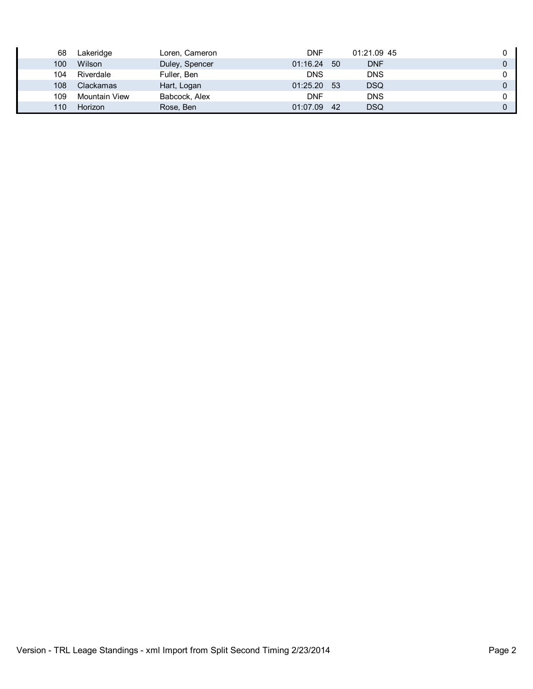| 68  | Lakeridge     | Loren, Cameron | <b>DNF</b>  |      | 01:21.09 45 |          |
|-----|---------------|----------------|-------------|------|-------------|----------|
| 100 | Wilson        | Duley, Spencer | 01:16.24    | - 50 | <b>DNF</b>  | $\Omega$ |
| 104 | Riverdale     | Fuller, Ben    | <b>DNS</b>  |      | <b>DNS</b>  |          |
| 108 | Clackamas     | Hart, Logan    | 01:25.20 53 |      | <b>DSQ</b>  |          |
| 109 | Mountain View | Babcock, Alex  | <b>DNF</b>  |      | <b>DNS</b>  |          |
| 110 | Horizon       | Rose, Ben      | 01:07.09    | -42  | DSQ         |          |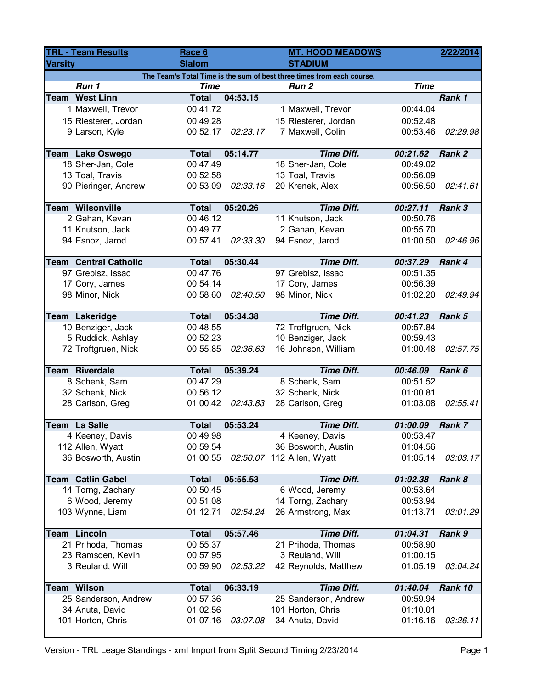| <b>TRL - Team Results</b> |                                                                        | Race 6        |          | <b>MT. HOOD MEADOWS</b>   |             | 2/22/2014 |  |  |  |  |  |
|---------------------------|------------------------------------------------------------------------|---------------|----------|---------------------------|-------------|-----------|--|--|--|--|--|
| <b>Varsity</b>            |                                                                        | <b>Slalom</b> |          | <b>STADIUM</b>            |             |           |  |  |  |  |  |
|                           | The Team's Total Time is the sum of best three times from each course. |               |          |                           |             |           |  |  |  |  |  |
|                           | Run 1                                                                  | <b>Time</b>   |          | Run <sub>2</sub>          | <b>Time</b> |           |  |  |  |  |  |
|                           | <b>Team West Linn</b>                                                  | <b>Total</b>  | 04:53.15 |                           |             | Rank 1    |  |  |  |  |  |
|                           | 1 Maxwell, Trevor                                                      | 00:41.72      |          | 1 Maxwell, Trevor         | 00:44.04    |           |  |  |  |  |  |
|                           | 15 Riesterer, Jordan                                                   | 00:49.28      |          | 15 Riesterer, Jordan      | 00:52.48    |           |  |  |  |  |  |
|                           | 9 Larson, Kyle                                                         | 00:52.17      | 02:23.17 | 7 Maxwell, Colin          | 00:53.46    | 02:29.98  |  |  |  |  |  |
|                           | <b>Team Lake Oswego</b>                                                | <b>Total</b>  | 05:14.77 | <b>Time Diff.</b>         | 00:21.62    | Rank 2    |  |  |  |  |  |
|                           | 18 Sher-Jan, Cole                                                      | 00:47.49      |          | 18 Sher-Jan, Cole         | 00:49.02    |           |  |  |  |  |  |
|                           | 13 Toal, Travis                                                        | 00:52.58      |          | 13 Toal, Travis           | 00:56.09    |           |  |  |  |  |  |
|                           | 90 Pieringer, Andrew                                                   | 00:53.09      | 02:33.16 | 20 Krenek, Alex           | 00:56.50    | 02:41.61  |  |  |  |  |  |
|                           | <b>Team Wilsonville</b>                                                | <b>Total</b>  | 05:20.26 | <b>Time Diff.</b>         | 00:27.11    | Rank 3    |  |  |  |  |  |
|                           | 2 Gahan, Kevan                                                         | 00:46.12      |          | 11 Knutson, Jack          | 00:50.76    |           |  |  |  |  |  |
|                           | 11 Knutson, Jack                                                       | 00:49.77      |          | 2 Gahan, Kevan            | 00:55.70    |           |  |  |  |  |  |
|                           | 94 Esnoz, Jarod                                                        | 00:57.41      | 02:33.30 | 94 Esnoz, Jarod           | 01:00.50    | 02:46.96  |  |  |  |  |  |
|                           |                                                                        |               |          |                           |             |           |  |  |  |  |  |
|                           | <b>Team Central Catholic</b>                                           | <b>Total</b>  | 05:30.44 | <b>Time Diff.</b>         | 00:37.29    | Rank 4    |  |  |  |  |  |
|                           | 97 Grebisz, Issac                                                      | 00:47.76      |          | 97 Grebisz, Issac         | 00:51.35    |           |  |  |  |  |  |
|                           | 17 Cory, James                                                         | 00:54.14      |          | 17 Cory, James            | 00:56.39    |           |  |  |  |  |  |
|                           | 98 Minor, Nick                                                         | 00:58.60      | 02:40.50 | 98 Minor, Nick            | 01:02.20    | 02:49.94  |  |  |  |  |  |
|                           | Team Lakeridge                                                         | <b>Total</b>  | 05:34.38 | <b>Time Diff.</b>         | 00:41.23    | Rank 5    |  |  |  |  |  |
|                           | 10 Benziger, Jack                                                      | 00:48.55      |          | 72 Troftgruen, Nick       | 00:57.84    |           |  |  |  |  |  |
|                           | 5 Ruddick, Ashlay                                                      | 00:52.23      |          | 10 Benziger, Jack         | 00:59.43    |           |  |  |  |  |  |
|                           | 72 Troftgruen, Nick                                                    | 00:55.85      | 02:36.63 | 16 Johnson, William       | 01:00.48    | 02:57.75  |  |  |  |  |  |
|                           | <b>Team Riverdale</b>                                                  | <b>Total</b>  | 05:39.24 | <b>Time Diff.</b>         | 00:46.09    | Rank 6    |  |  |  |  |  |
|                           | 8 Schenk, Sam                                                          | 00:47.29      |          | 8 Schenk, Sam             | 00:51.52    |           |  |  |  |  |  |
|                           | 32 Schenk, Nick                                                        | 00:56.12      |          | 32 Schenk, Nick           | 01:00.81    |           |  |  |  |  |  |
|                           | 28 Carlson, Greg                                                       | 01:00.42      | 02:43.83 | 28 Carlson, Greg          | 01:03.08    | 02:55.41  |  |  |  |  |  |
|                           |                                                                        |               |          |                           |             |           |  |  |  |  |  |
|                           | <b>Team La Salle</b>                                                   | <b>Total</b>  | 05:53.24 | <b>Time Diff.</b>         | 01:00.09    | Rank 7    |  |  |  |  |  |
|                           | 4 Keeney, Davis                                                        | 00:49.98      |          | 4 Keeney, Davis           | 00:53.47    |           |  |  |  |  |  |
|                           | 112 Allen, Wyatt                                                       | 00:59.54      |          | 36 Bosworth, Austin       | 01:04.56    |           |  |  |  |  |  |
|                           | 36 Bosworth, Austin                                                    | 01:00.55      |          | 02:50.07 112 Allen, Wyatt | 01:05.14    | 03:03.17  |  |  |  |  |  |
|                           | <b>Team Catlin Gabel</b>                                               | <b>Total</b>  | 05:55.53 | <b>Time Diff.</b>         | 01:02.38    | Rank 8    |  |  |  |  |  |
|                           | 14 Torng, Zachary                                                      | 00:50.45      |          | 6 Wood, Jeremy            | 00:53.64    |           |  |  |  |  |  |
|                           | 6 Wood, Jeremy                                                         | 00:51.08      |          | 14 Torng, Zachary         | 00:53.94    |           |  |  |  |  |  |
|                           | 103 Wynne, Liam                                                        | 01:12.71      | 02:54.24 | 26 Armstrong, Max         | 01:13.71    | 03:01.29  |  |  |  |  |  |
|                           |                                                                        |               |          |                           |             |           |  |  |  |  |  |
|                           | <b>Team Lincoln</b>                                                    | <b>Total</b>  | 05:57.46 | <b>Time Diff.</b>         | 01:04.31    | Rank 9    |  |  |  |  |  |
|                           | 21 Prihoda, Thomas                                                     | 00:55.37      |          | 21 Prihoda, Thomas        | 00:58.90    |           |  |  |  |  |  |
|                           | 23 Ramsden, Kevin                                                      | 00:57.95      |          | 3 Reuland, Will           | 01:00.15    |           |  |  |  |  |  |
|                           | 3 Reuland, Will                                                        | 00:59.90      | 02:53.22 | 42 Reynolds, Matthew      | 01:05.19    | 03:04.24  |  |  |  |  |  |
|                           | <b>Team Wilson</b>                                                     | <b>Total</b>  | 06:33.19 | <b>Time Diff.</b>         | 01:40.04    | Rank 10   |  |  |  |  |  |
|                           | 25 Sanderson, Andrew                                                   | 00:57.36      |          | 25 Sanderson, Andrew      | 00:59.94    |           |  |  |  |  |  |
|                           | 34 Anuta, David                                                        | 01:02.56      |          | 101 Horton, Chris         | 01:10.01    |           |  |  |  |  |  |
|                           | 101 Horton, Chris                                                      | 01:07.16      | 03:07.08 | 34 Anuta, David           | 01:16.16    | 03:26.11  |  |  |  |  |  |
|                           |                                                                        |               |          |                           |             |           |  |  |  |  |  |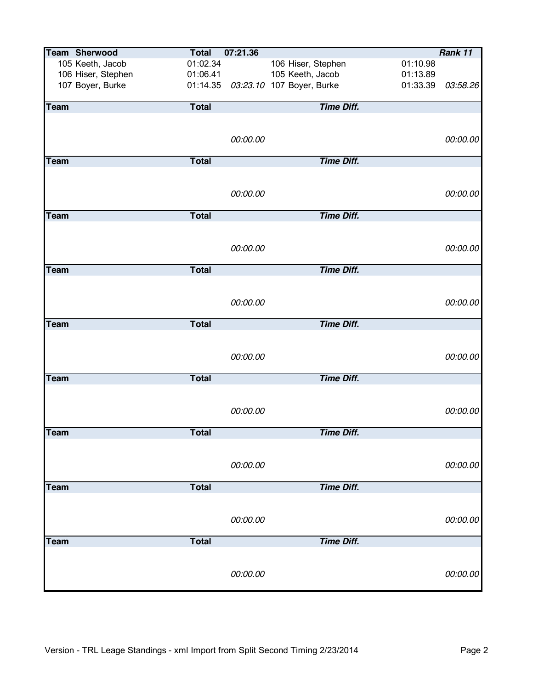|             | <b>Team Sherwood</b> | <b>Total</b> | 07:21.36 |                                    |          | Rank 11  |
|-------------|----------------------|--------------|----------|------------------------------------|----------|----------|
|             | 105 Keeth, Jacob     | 01:02.34     |          | 106 Hiser, Stephen                 | 01:10.98 |          |
|             | 106 Hiser, Stephen   | 01:06.41     |          | 105 Keeth, Jacob                   | 01:13.89 |          |
|             | 107 Boyer, Burke     |              |          | 01:14.35 03:23.10 107 Boyer, Burke | 01:33.39 | 03:58.26 |
|             |                      |              |          |                                    |          |          |
| Team        |                      | <b>Total</b> |          | <b>Time Diff.</b>                  |          |          |
|             |                      |              |          |                                    |          |          |
|             |                      |              |          |                                    |          |          |
|             |                      |              | 00:00.00 |                                    |          | 00:00.00 |
|             |                      |              |          |                                    |          |          |
| Team        |                      | <b>Total</b> |          | <b>Time Diff.</b>                  |          |          |
|             |                      |              |          |                                    |          |          |
|             |                      |              |          |                                    |          |          |
|             |                      |              | 00:00.00 |                                    |          | 00:00.00 |
|             |                      |              |          |                                    |          |          |
| Team        |                      | <b>Total</b> |          | <b>Time Diff.</b>                  |          |          |
|             |                      |              |          |                                    |          |          |
|             |                      |              |          |                                    |          |          |
|             |                      |              | 00:00.00 |                                    |          | 00:00.00 |
| <b>Team</b> |                      | <b>Total</b> |          | <b>Time Diff.</b>                  |          |          |
|             |                      |              |          |                                    |          |          |
|             |                      |              |          |                                    |          |          |
|             |                      |              | 00:00.00 |                                    |          | 00:00.00 |
|             |                      |              |          |                                    |          |          |
| <b>Team</b> |                      | <b>Total</b> |          | <b>Time Diff.</b>                  |          |          |
|             |                      |              |          |                                    |          |          |
|             |                      |              |          |                                    |          |          |
|             |                      |              | 00:00.00 |                                    |          | 00:00.00 |
|             |                      |              |          |                                    |          |          |
| <b>Team</b> |                      | <b>Total</b> |          | <b>Time Diff.</b>                  |          |          |
|             |                      |              |          |                                    |          |          |
|             |                      |              |          |                                    |          |          |
|             |                      |              | 00:00.00 |                                    |          | 00:00.00 |
|             |                      |              |          |                                    |          |          |
| <b>Team</b> |                      | <b>Total</b> |          | <b>Time Diff.</b>                  |          |          |
|             |                      |              |          |                                    |          |          |
|             |                      |              | 00:00.00 |                                    |          | 00:00.00 |
|             |                      |              |          |                                    |          |          |
| <b>Team</b> |                      | <b>Total</b> |          | <b>Time Diff.</b>                  |          |          |
|             |                      |              |          |                                    |          |          |
|             |                      |              |          |                                    |          |          |
|             |                      |              | 00:00.00 |                                    |          | 00:00.00 |
|             |                      |              |          |                                    |          |          |
| <b>Team</b> |                      | <b>Total</b> |          | <b>Time Diff.</b>                  |          |          |
|             |                      |              |          |                                    |          |          |
|             |                      |              |          |                                    |          |          |
|             |                      |              | 00:00.00 |                                    |          | 00:00.00 |
|             |                      |              |          |                                    |          |          |
|             |                      |              |          |                                    |          |          |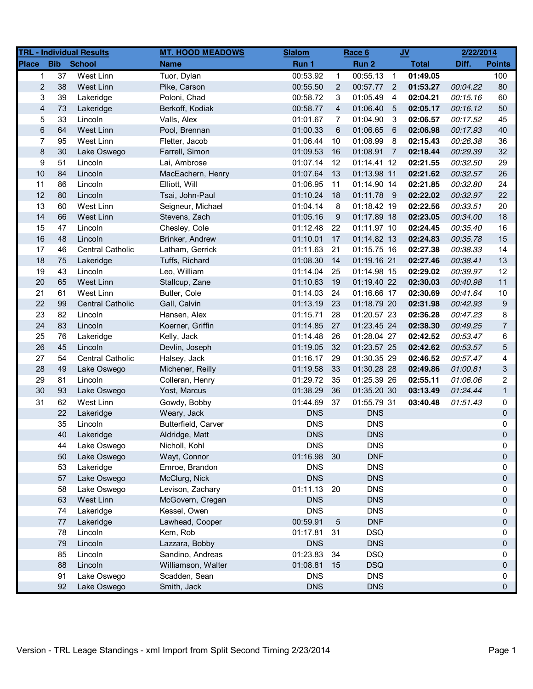|                         |            | <b>TRL - Individual Results</b> | <b>MT. HOOD MEADOWS</b> | <b>Slalom</b> |              | Race 6      |                            | $JV$         | 2/22/2014 |                |
|-------------------------|------------|---------------------------------|-------------------------|---------------|--------------|-------------|----------------------------|--------------|-----------|----------------|
| <b>Place</b>            | <b>Bib</b> | <b>School</b>                   | <b>Name</b>             | Run 1         |              | Run 2       |                            | <b>Total</b> | Diff.     | <b>Points</b>  |
| 1                       | 37         | West Linn                       | Tuor, Dylan             | 00:53.92      | $\mathbf{1}$ | 00:55.13    | $\overline{1}$             | 01:49.05     |           | 100            |
| $\overline{2}$          | 38         | West Linn                       | Pike, Carson            | 00:55.50      | 2            | 00:57.77    | $\overline{\phantom{0}}^2$ | 01:53.27     | 00:04.22  | 80             |
| 3                       | 39         | Lakeridge                       | Poloni, Chad            | 00:58.72      | 3            | 01:05.49    | $\overline{4}$             | 02:04.21     | 00:15.16  | 60             |
| $\overline{\mathbf{4}}$ | 73         | Lakeridge                       | Berkoff, Kodiak         | 00:58.77      | 4            | 01:06.40    | $-5$                       | 02:05.17     | 00:16.12  | 50             |
| 5                       | 33         | Lincoln                         | Valls, Alex             | 01:01.67      | 7            | 01:04.90    | - 3                        | 02:06.57     | 00:17.52  | 45             |
| 6                       | 64         | West Linn                       | Pool, Brennan           | 01:00.33      | 6            | 01:06.65    | 6                          | 02:06.98     | 00:17.93  | 40             |
| $\overline{7}$          | 95         | West Linn                       | Fletter, Jacob          | 01:06.44      | 10           | 01:08.99    | - 8                        | 02:15.43     | 00:26.38  | 36             |
| $\bf 8$                 | 30         | Lake Oswego                     | Farrell, Simon          | 01:09.53      | 16           | 01:08.91    | $\overline{7}$             | 02:18.44     | 00:29.39  | 32             |
| 9                       | 51         | Lincoln                         | Lai, Ambrose            | 01:07.14      | 12           | 01:14.41 12 |                            | 02:21.55     | 00:32.50  | 29             |
| 10                      | 84         | Lincoln                         | MacEachern, Henry       | 01:07.64      | 13           | 01:13.98 11 |                            | 02:21.62     | 00:32.57  | 26             |
| 11                      | 86         | Lincoln                         | Elliott, Will           | 01:06.95      | 11           | 01:14.90 14 |                            | 02:21.85     | 00:32.80  | 24             |
| 12                      | 80         | Lincoln                         | Tsai, John-Paul         | 01:10.24      | 18           | 01:11.78 9  |                            | 02:22.02     | 00:32.97  | 22             |
| 13                      | 60         | West Linn                       | Seigneur, Michael       | 01:04.14      | 8            | 01:18.42 19 |                            | 02:22.56     | 00:33.51  | 20             |
| 14                      | 66         | West Linn                       | Stevens, Zach           | 01:05.16      | 9            | 01:17.89 18 |                            | 02:23.05     | 00:34.00  | 18             |
| 15                      | 47         | Lincoln                         | Chesley, Cole           | 01:12.48      | 22           | 01:11.97 10 |                            | 02:24.45     | 00:35.40  | 16             |
| 16                      | 48         | Lincoln                         | Brinker, Andrew         | 01:10.01      | 17           | 01:14.82 13 |                            | 02:24.83     | 00:35.78  | 15             |
| 17                      | 46         | Central Catholic                | Latham, Gerrick         | 01:11.63      | 21           | 01:15.75 16 |                            | 02:27.38     | 00:38.33  | 14             |
| 18                      | 75         | Lakeridge                       | Tuffs, Richard          | 01:08.30      | 14           | 01:19.16 21 |                            | 02:27.46     | 00:38.41  | 13             |
| 19                      | 43         | Lincoln                         | Leo, William            | 01:14.04      | 25           | 01:14.98 15 |                            | 02:29.02     | 00:39.97  | 12             |
| 20                      | 65         | West Linn                       | Stallcup, Zane          | 01:10.63      | 19           | 01:19.40 22 |                            | 02:30.03     | 00:40.98  | 11             |
| 21                      | 61         | West Linn                       | Butler, Cole            | 01:14.03      | 24           | 01:16.66 17 |                            | 02:30.69     | 00:41.64  | 10             |
| 22                      | 99         | <b>Central Catholic</b>         | Gall, Calvin            | 01:13.19      | 23           | 01:18.79 20 |                            | 02:31.98     | 00:42.93  | 9              |
| 23                      | 82         | Lincoln                         | Hansen, Alex            | 01:15.71      | 28           | 01:20.57 23 |                            | 02:36.28     | 00:47.23  | 8              |
| 24                      | 83         | Lincoln                         | Koerner, Griffin        | 01:14.85      | 27           | 01:23.45 24 |                            | 02:38.30     | 00:49.25  | $\overline{7}$ |
| 25                      | 76         | Lakeridge                       | Kelly, Jack             | 01:14.48      | 26           | 01:28.04 27 |                            | 02:42.52     | 00:53.47  | 6              |
| 26                      | 45         | Lincoln                         | Devlin, Joseph          | 01:19.05      | 32           | 01:23.57 25 |                            | 02:42.62     | 00:53.57  | 5              |
| 27                      | 54         | <b>Central Catholic</b>         | Halsey, Jack            | 01:16.17      | 29           | 01:30.35 29 |                            | 02:46.52     | 00:57.47  | 4              |
| 28                      | 49         | Lake Oswego                     | Michener, Reilly        | 01:19.58      | 33           | 01:30.28 28 |                            | 02:49.86     | 01:00.81  | 3              |
| 29                      | 81         | Lincoln                         | Colleran, Henry         | 01:29.72      | 35           | 01:25.39 26 |                            | 02:55.11     | 01:06.06  | $\overline{2}$ |
| 30                      | 93         | Lake Oswego                     | Yost, Marcus            | 01:38.29      | 36           | 01:35.20 30 |                            | 03:13.49     | 01:24.44  | $\mathbf{1}$   |
| 31                      | 62         | West Linn                       | Gowdy, Bobby            | 01:44.69      | 37           | 01:55.79 31 |                            | 03:40.48     | 01:51.43  | 0              |
|                         | 22         | Lakeridge                       | Weary, Jack             | <b>DNS</b>    |              | <b>DNS</b>  |                            |              |           | 0              |
|                         | 35         | Lincoln                         | Butterfield, Carver     | <b>DNS</b>    |              | <b>DNS</b>  |                            |              |           | 0              |
|                         | 40         | Lakeridge                       | Aldridge, Matt          | <b>DNS</b>    |              | <b>DNS</b>  |                            |              |           | $\Omega$       |
|                         | 44         | Lake Oswego                     | Nicholl, Kohl           | <b>DNS</b>    |              | <b>DNS</b>  |                            |              |           | 0              |
|                         | 50         | Lake Oswego                     | Wayt, Connor            | 01:16.98      | 30           | <b>DNF</b>  |                            |              |           | 0              |
|                         | 53         | Lakeridge                       | Emroe, Brandon          | <b>DNS</b>    |              | <b>DNS</b>  |                            |              |           | 0              |
|                         | 57         | Lake Oswego                     | McClurg, Nick           | <b>DNS</b>    |              | <b>DNS</b>  |                            |              |           | 0              |
|                         | 58         | Lake Oswego                     | Levison, Zachary        | 01:11.13 20   |              | <b>DNS</b>  |                            |              |           | 0              |
|                         | 63         | West Linn                       | McGovern, Cregan        | <b>DNS</b>    |              | <b>DNS</b>  |                            |              |           | 0              |
|                         | 74         | Lakeridge                       | Kessel, Owen            | <b>DNS</b>    |              | <b>DNS</b>  |                            |              |           | 0              |
|                         | 77         | Lakeridge                       | Lawhead, Cooper         | 00:59.91      | 5            | <b>DNF</b>  |                            |              |           | 0              |
|                         | 78         | Lincoln                         | Kem, Rob                | 01:17.81      | 31           | <b>DSQ</b>  |                            |              |           | 0              |
|                         | 79         | Lincoln                         | Lazzara, Bobby          | <b>DNS</b>    |              | <b>DNS</b>  |                            |              |           | 0              |
|                         | 85         | Lincoln                         | Sandino, Andreas        | 01:23.83      | 34           | <b>DSQ</b>  |                            |              |           | 0              |
|                         | 88         | Lincoln                         | Williamson, Walter      | 01:08.81      | 15           | <b>DSQ</b>  |                            |              |           | 0              |
|                         | 91         | Lake Oswego                     | Scadden, Sean           | <b>DNS</b>    |              | <b>DNS</b>  |                            |              |           | 0              |
|                         | 92         | Lake Oswego                     | Smith, Jack             | <b>DNS</b>    |              | <b>DNS</b>  |                            |              |           | 0              |